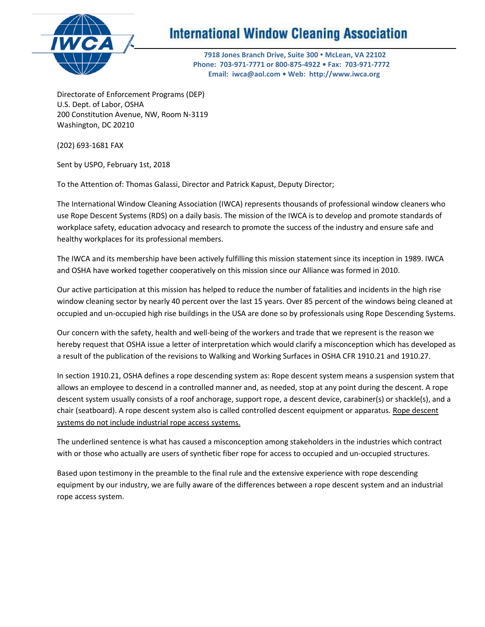

# **International Window Cleaning Association**

 **7918 Jones Branch Drive, Suite 300 • McLean, VA 22102 Phone: 703-971-7771 or 800-875-4922 • Fax: 703-971-7772 Email: iwca@aol.com • Web: http://www.iwca.org**

Directorate of Enforcement Programs (DEP) U.S. Dept. of Labor, OSHA 200 Constitution Avenue, NW, Room N-3119 Washington, DC 20210

(202) 693-1681 FAX

Sent by USPO, February 1st, 2018

To the Attention of: Thomas Galassi, Director and Patrick Kapust, Deputy Director;

The International Window Cleaning Association (IWCA) represents thousands of professional window cleaners who use Rope Descent Systems (RDS) on a daily basis. The mission of the IWCA is to develop and promote standards of workplace safety, education advocacy and research to promote the success of the industry and ensure safe and healthy workplaces for its professional members.

The IWCA and its membership have been actively fulfilling this mission statement since its inception in 1989. IWCA and OSHA have worked together cooperatively on this mission since our Alliance was formed in 2010.

Our active participation at this mission has helped to reduce the number of fatalities and incidents in the high rise window cleaning sector by nearly 40 percent over the last 15 years. Over 85 percent of the windows being cleaned at occupied and un-occupied high rise buildings in the USA are done so by professionals using Rope Descending Systems.

Our concern with the safety, health and well-being of the workers and trade that we represent is the reason we hereby request that OSHA issue a letter of interpretation which would clarify a misconception which has developed as a result of the publication of the revisions to Walking and Working Surfaces in OSHA CFR 1910.21 and 1910.27.

In section 1910.21, OSHA defines a rope descending system as: Rope descent system means a suspension system that allows an employee to descend in a controlled manner and, as needed, stop at any point during the descent. A rope descent system usually consists of a roof anchorage, support rope, a descent device, carabiner(s) or shackle(s), and a chair (seatboard). A rope descent system also is called controlled descent equipment or apparatus. Rope descent systems do not include industrial rope access systems.

The underlined sentence is what has caused a misconception among stakeholders in the industries which contract with or those who actually are users of synthetic fiber rope for access to occupied and un-occupied structures.

Based upon testimony in the preamble to the final rule and the extensive experience with rope descending equipment by our industry, we are fully aware of the differences between a rope descent system and an industrial rope access system.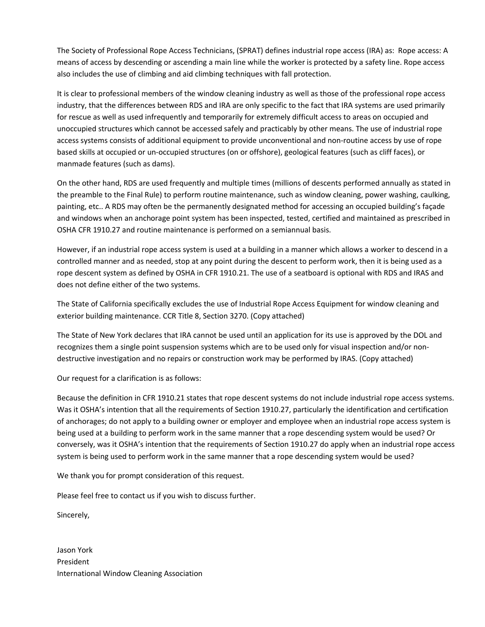The Society of Professional Rope Access Technicians, (SPRAT) defines industrial rope access (IRA) as: Rope access: A means of access by descending or ascending a main line while the worker is protected by a safety line. Rope access also includes the use of climbing and aid climbing techniques with fall protection.

It is clear to professional members of the window cleaning industry as well as those of the professional rope access industry, that the differences between RDS and IRA are only specific to the fact that IRA systems are used primarily for rescue as well as used infrequently and temporarily for extremely difficult access to areas on occupied and unoccupied structures which cannot be accessed safely and practicably by other means. The use of industrial rope access systems consists of additional equipment to provide unconventional and non-routine access by use of rope based skills at occupied or un-occupied structures (on or offshore), geological features (such as cliff faces), or manmade features (such as dams).

On the other hand, RDS are used frequently and multiple times (millions of descents performed annually as stated in the preamble to the Final Rule) to perform routine maintenance, such as window cleaning, power washing, caulking, painting, etc.. A RDS may often be the permanently designated method for accessing an occupied building's façade and windows when an anchorage point system has been inspected, tested, certified and maintained as prescribed in OSHA CFR 1910.27 and routine maintenance is performed on a semiannual basis.

However, if an industrial rope access system is used at a building in a manner which allows a worker to descend in a controlled manner and as needed, stop at any point during the descent to perform work, then it is being used as a rope descent system as defined by OSHA in CFR 1910.21. The use of a seatboard is optional with RDS and IRAS and does not define either of the two systems.

The State of California specifically excludes the use of Industrial Rope Access Equipment for window cleaning and exterior building maintenance. CCR Title 8, Section 3270. (Copy attached)

The State of New York declares that IRA cannot be used until an application for its use is approved by the DOL and recognizes them a single point suspension systems which are to be used only for visual inspection and/or nondestructive investigation and no repairs or construction work may be performed by IRAS. (Copy attached)

Our request for a clarification is as follows:

Because the definition in CFR 1910.21 states that rope descent systems do not include industrial rope access systems. Was it OSHA's intention that all the requirements of Section 1910.27, particularly the identification and certification of anchorages; do not apply to a building owner or employer and employee when an industrial rope access system is being used at a building to perform work in the same manner that a rope descending system would be used? Or conversely, was it OSHA's intention that the requirements of Section 1910.27 do apply when an industrial rope access system is being used to perform work in the same manner that a rope descending system would be used?

We thank you for prompt consideration of this request.

Please feel free to contact us if you wish to discuss further.

Sincerely,

Jason York President International Window Cleaning Association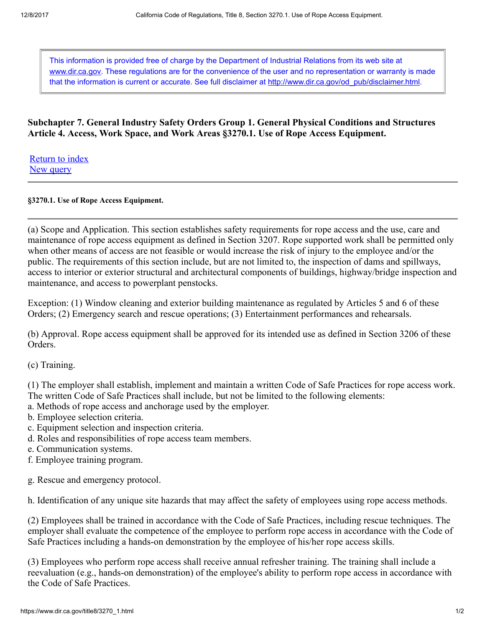This information is provided free of charge by the Department of Industrial Relations from its web site at [www.dir.ca.gov](https://www.dir.ca.gov/). These regulations are for the convenience of the user and no representation or warranty is made that the information is current or accurate. See full disclaimer at [http://www.dir.ca.gov/od\\_pub/disclaimer.html](https://www.dir.ca.gov/od_pub/disclaimer.html).

### Subchapter 7. General Industry Safety Orders Group 1. General Physical Conditions and Structures Article 4. Access, Work Space, and Work Areas §3270.1. Use of Rope Access Equipment.

[Return to index](https://www.dir.ca.gov/title8/index/T8index.asp) [New query](https://www.dir.ca.gov/samples/search/query.htm)

#### §3270.1. Use of Rope Access Equipment.

(a) Scope and Application. This section establishes safety requirements for rope access and the use, care and maintenance of rope access equipment as defined in Section 3207. Rope supported work shall be permitted only when other means of access are not feasible or would increase the risk of injury to the employee and/or the public. The requirements of this section include, but are not limited to, the inspection of dams and spillways, access to interior or exterior structural and architectural components of buildings, highway/bridge inspection and maintenance, and access to powerplant penstocks.

Exception: (1) Window cleaning and exterior building maintenance as regulated by Articles 5 and 6 of these Orders; (2) Emergency search and rescue operations; (3) Entertainment performances and rehearsals.

(b) Approval. Rope access equipment shall be approved for its intended use as defined in Section 3206 of these Orders.

(c) Training.

(1) The employer shall establish, implement and maintain a written Code of Safe Practices for rope access work. The written Code of Safe Practices shall include, but not be limited to the following elements:

- a. Methods of rope access and anchorage used by the employer.
- b. Employee selection criteria.
- c. Equipment selection and inspection criteria.
- d. Roles and responsibilities of rope access team members.
- e. Communication systems.
- f. Employee training program.
- g. Rescue and emergency protocol.

h. Identification of any unique site hazards that may affect the safety of employees using rope access methods.

(2) Employees shall be trained in accordance with the Code of Safe Practices, including rescue techniques. The employer shall evaluate the competence of the employee to perform rope access in accordance with the Code of Safe Practices including a hands-on demonstration by the employee of his/her rope access skills.

(3) Employees who perform rope access shall receive annual refresher training. The training shall include a reevaluation (e.g., hands-on demonstration) of the employee's ability to perform rope access in accordance with the Code of Safe Practices.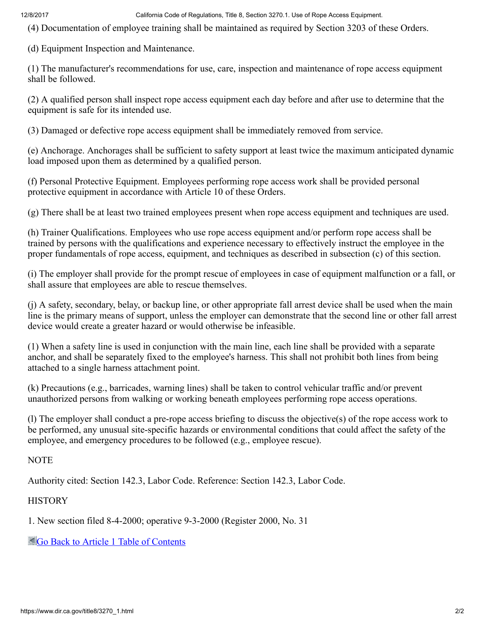12/8/2017 California Code of Regulations, Title 8, Section 3270.1. Use of Rope Access Equipment.

(4) Documentation of employee training shall be maintained as required by Section 3203 of these Orders.

(d) Equipment Inspection and Maintenance.

(1) The manufacturer's recommendations for use, care, inspection and maintenance of rope access equipment shall be followed.

(2) A qualified person shall inspect rope access equipment each day before and after use to determine that the equipment is safe for its intended use.

(3) Damaged or defective rope access equipment shall be immediately removed from service.

(e) Anchorage. Anchorages shall be sufficient to safety support at least twice the maximum anticipated dynamic load imposed upon them as determined by a qualified person.

(f) Personal Protective Equipment. Employees performing rope access work shall be provided personal protective equipment in accordance with Article 10 of these Orders.

(g) There shall be at least two trained employees present when rope access equipment and techniques are used.

(h) Trainer Qualifications. Employees who use rope access equipment and/or perform rope access shall be trained by persons with the qualifications and experience necessary to effectively instruct the employee in the proper fundamentals of rope access, equipment, and techniques as described in subsection (c) of this section.

(i) The employer shall provide for the prompt rescue of employees in case of equipment malfunction or a fall, or shall assure that employees are able to rescue themselves.

(j) A safety, secondary, belay, or backup line, or other appropriate fall arrest device shall be used when the main line is the primary means of support, unless the employer can demonstrate that the second line or other fall arrest device would create a greater hazard or would otherwise be infeasible.

(1) When a safety line is used in conjunction with the main line, each line shall be provided with a separate anchor, and shall be separately fixed to the employee's harness. This shall not prohibit both lines from being attached to a single harness attachment point.

(k) Precautions (e.g., barricades, warning lines) shall be taken to control vehicular traffic and/or prevent unauthorized persons from walking or working beneath employees performing rope access operations.

(l) The employer shall conduct a pre-rope access briefing to discuss the objective(s) of the rope access work to be performed, any unusual site-specific hazards or environmental conditions that could affect the safety of the employee, and emergency procedures to be followed (e.g., employee rescue).

#### NOTE

Authority cited: Section 142.3, Labor Code. Reference: Section 142.3, Labor Code.

### **HISTORY**

1. New section filed 8-4-2000; operative 9-3-2000 (Register 2000, No. 31

[Go Back to Article 1 Table of Contents](https://www.dir.ca.gov/title8/sb7g1a1.html)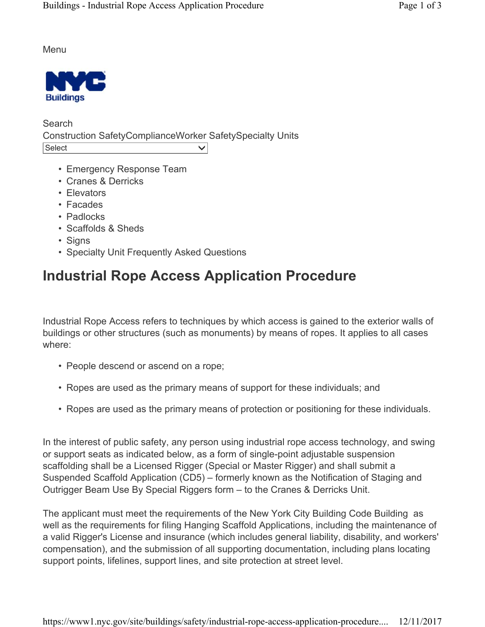Menu



**Search** Construction SafetyComplianceWorker SafetySpecialty Units Select  $\vee$ 

- Emergency Response Team
- Cranes & Derricks
- Elevators
- Facades
- Padlocks
- Scaffolds & Sheds
- Signs
- Specialty Unit Frequently Asked Questions

# **Industrial Rope Access Application Procedure**

Industrial Rope Access refers to techniques by which access is gained to the exterior walls of buildings or other structures (such as monuments) by means of ropes. It applies to all cases where:

- People descend or ascend on a rope;
- Ropes are used as the primary means of support for these individuals; and
- Ropes are used as the primary means of protection or positioning for these individuals.

In the interest of public safety, any person using industrial rope access technology, and swing or support seats as indicated below, as a form of single-point adjustable suspension scaffolding shall be a Licensed Rigger (Special or Master Rigger) and shall submit a Suspended Scaffold Application (CD5) – formerly known as the Notification of Staging and Outrigger Beam Use By Special Riggers form – to the Cranes & Derricks Unit.

The applicant must meet the requirements of the New York City Building Code Building as well as the requirements for filing Hanging Scaffold Applications, including the maintenance of a valid Rigger's License and insurance (which includes general liability, disability, and workers' compensation), and the submission of all supporting documentation, including plans locating support points, lifelines, support lines, and site protection at street level.